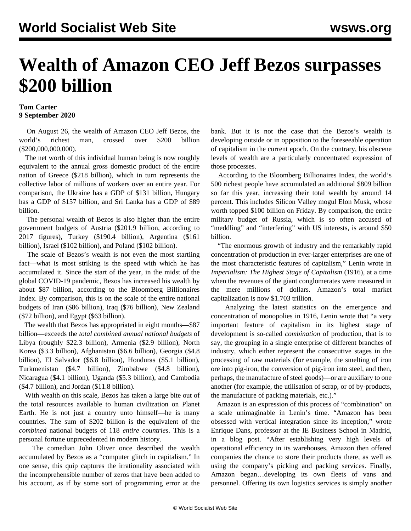## **Wealth of Amazon CEO Jeff Bezos surpasses \$200 billion**

## **Tom Carter 9 September 2020**

 On August 26, the wealth of Amazon CEO Jeff Bezos, the world's richest man, crossed over \$200 billion (\$200,000,000,000).

 The net worth of this individual human being is now roughly equivalent to the annual gross domestic product of the entire nation of Greece (\$218 billion), which in turn represents the collective labor of millions of workers over an entire year. For comparison, the Ukraine has a GDP of \$131 billion, Hungary has a GDP of \$157 billion, and Sri Lanka has a GDP of \$89 billion.

 The personal wealth of Bezos is also higher than the entire government budgets of Austria (\$201.9 billion, according to 2017 figures), Turkey (\$190.4 billion), Argentina (\$161 billion), Israel (\$102 billion), and Poland (\$102 billion).

 The scale of Bezos's wealth is not even the most startling fact—what is most striking is the speed with which he has accumulated it. Since the start of the year, in the midst of the global COVID-19 pandemic, Bezos has increased his wealth by about \$87 billion, according to the Bloomberg Billionaires Index. By comparison, this is on the scale of the entire national budgets of Iran (\$86 billion), Iraq (\$76 billion), New Zealand (\$72 billion), and Egypt (\$63 billion).

 The wealth that Bezos has appropriated in eight months—\$87 billion—exceeds the *total combined annual national budgets* of Libya (roughly \$22.3 billion), Armenia (\$2.9 billion), North Korea (\$3.3 billion), Afghanistan (\$6.6 billion), Georgia (\$4.8 billion), El Salvador (\$6.8 billion), Honduras (\$5.1 billion), Turkmenistan (\$4.7 billion), Zimbabwe (\$4.8 billion), Nicaragua (\$4.1 billion), Uganda (\$5.3 billion), and Cambodia (\$4.7 billion), and Jordan (\$11.8 billion).

 With wealth on this scale, Bezos has taken a large bite out of the total resources available to human civilization on Planet Earth. He is not just a country unto himself—he is many countries. The sum of \$202 billion is the equivalent of the *combined* national budgets of 118 *entire countries*. This is a personal fortune unprecedented in modern history.

 The comedian John Oliver once described the wealth accumulated by Bezos as a "computer glitch in capitalism." In one sense, this quip captures the irrationality associated with the incomprehensible number of zeros that have been added to his account, as if by some sort of programming error at the bank. But it is not the case that the Bezos's wealth is developing outside or in opposition to the foreseeable operation of capitalism in the current epoch. On the contrary, his obscene levels of wealth are a particularly concentrated expression of those processes.

 According to the Bloomberg Billionaires Index, the world's 500 richest people have accumulated an additional \$809 billion so far this year, increasing their total wealth by around 14 percent. This includes Silicon Valley mogul Elon Musk, whose worth topped \$100 billion on Friday. By comparison, the entire military budget of Russia, which is so often accused of "meddling" and "interfering" with US interests, is around \$50 billion.

 "The enormous growth of industry and the remarkably rapid concentration of production in ever-larger enterprises are one of the most characteristic features of capitalism," Lenin wrote in *Imperialism: The Highest Stage of Capitalism* (1916), at a time when the revenues of the giant conglomerates were measured in the mere millions of dollars. Amazon's total market capitalization is now \$1.703 trillion.

 Analyzing the latest statistics on the emergence and concentration of monopolies in 1916, Lenin wrote that "a very important feature of capitalism in its highest stage of development is so-called *combination* of production, that is to say, the grouping in a single enterprise of different branches of industry, which either represent the consecutive stages in the processing of raw materials (for example, the smelting of iron ore into pig-iron, the conversion of pig-iron into steel, and then, perhaps, the manufacture of steel goods)—or are auxiliary to one another (for example, the utilisation of scrap, or of by-products, the manufacture of packing materials, etc.)."

 Amazon is an expression of this process of "combination" on a scale unimaginable in Lenin's time. "Amazon has been obsessed with vertical integration since its inception," wrote Enrique Dans, professor at the IE Business School in Madrid, in a blog post. "After establishing very high levels of operational efficiency in its warehouses, Amazon then offered companies the chance to store their products there, as well as using the company's picking and packing services. Finally, Amazon began…developing its own fleets of vans and personnel. Offering its own logistics services is simply another